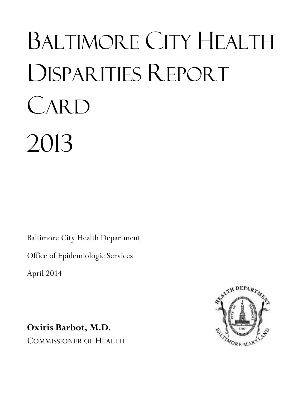# BALTIMORE CITY HEALTH DISPARITIES REPORT CARD 2013

Baltimore City Health Department

Office of Epidemiologic Services

April 2014

**Oxiris Barbot, M.D.** COMMISSIONER OF HEALTH

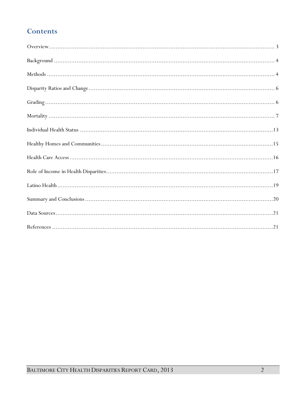# **Contents**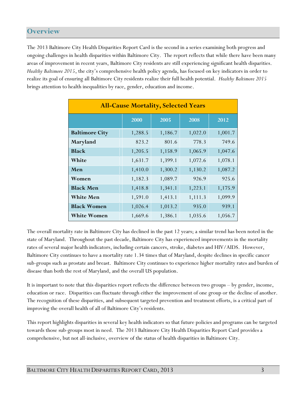#### <span id="page-2-0"></span>**Overview**

The 2013 Baltimore City Health Disparities Report Card is the second in a series examining both progress and ongoing challenges in health disparities within Baltimore City. The report reflects that while there have been many areas of improvement in recent years, Baltimore City residents are still experiencing significant health disparities. *Healthy Baltimore 2015*, the city's comprehensive health policy agenda, has focused on key indicators in order to realize its goal of ensuring all Baltimore City residents realize their full health potential. *Healthy Baltimore 2015* brings attention to health inequalities by race, gender, education and income.

| <b>All-Cause Mortality, Selected Years</b> |         |         |         |         |  |  |  |  |  |  |
|--------------------------------------------|---------|---------|---------|---------|--|--|--|--|--|--|
|                                            | 2000    | 2005    | 2008    | 2012    |  |  |  |  |  |  |
| <b>Baltimore City</b>                      | 1,288.5 | 1,186.7 | 1,022.0 | 1,001.7 |  |  |  |  |  |  |
| Maryland                                   | 823.2   | 801.6   | 778.3   | 749.6   |  |  |  |  |  |  |
| <b>Black</b>                               | 1,205.5 | 1,158.9 | 1,065.9 | 1,047.6 |  |  |  |  |  |  |
| White                                      | 1,631.7 | 1,399.1 | 1,072.6 | 1,078.1 |  |  |  |  |  |  |
| Men                                        | 1,410.0 | 1,300.2 | 1,130.2 | 1,087.2 |  |  |  |  |  |  |
| Women                                      | 1,182.3 | 1,089.7 | 926.9   | 925.6   |  |  |  |  |  |  |
| <b>Black Men</b>                           | 1,418.8 | 1,341.1 | 1,223.1 | 1,175.9 |  |  |  |  |  |  |
| <b>White Men</b>                           | 1,591.0 | 1,413.1 | 1,111.3 | 1,099.9 |  |  |  |  |  |  |
| <b>Black Women</b>                         | 1,026.4 | 1,013.2 | 935.0   | 939.1   |  |  |  |  |  |  |
| <b>White Women</b>                         | 1,669.6 | 1,386.1 | 1,035.6 | 1,056.7 |  |  |  |  |  |  |

The overall mortality rate in Baltimore City has declined in the past 12 years; a similar trend has been noted in the state of Maryland. Throughout the past decade, Baltimore City has experienced improvements in the mortality rates of several major health indicators, including certain cancers, stroke, diabetes and HIV/AIDS. However, Baltimore City continues to have a mortality rate 1.34 times that of Maryland, despite declines in specific cancer sub-groups such as prostate and breast. Baltimore City continues to experience higher mortality rates and burden of disease than both the rest of Maryland, and the overall US population.

It is important to note that this disparities report reflects the difference between two groups – by gender, income, education or race. Disparities can fluctuate through either the improvement of one group or the decline of another. The recognition of these disparities, and subsequent targeted prevention and treatment efforts, is a critical part of improving the overall health of all of Baltimore City's residents.

This report highlights disparities in several key health indicators so that future policies and programs can be targeted towards those sub-groups most in need. The 2013 Baltimore City Health Disparities Report Card provides a comprehensive, but not all-inclusive, overview of the status of health disparities in Baltimore City.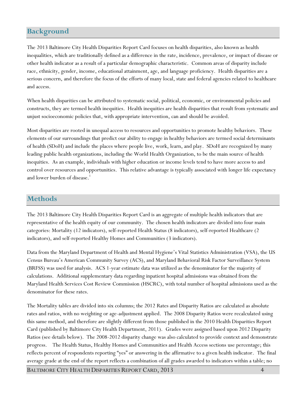## <span id="page-3-0"></span>**Background**

The 2013 Baltimore City Health Disparities Report Card focuses on health disparities, also known as health inequalities, which are traditionally defined as a difference in the rate, incidence, prevalence, or impact of disease or other health indicator as a result of a particular demographic characteristic. Common areas of disparity include race, ethnicity, gender, income, educational attainment, age, and language proficiency. Health disparities are a serious concern, and therefore the focus of the efforts of many local, state and federal agencies related to healthcare and access.

When health disparities can be attributed to systematic social, political, economic, or environmental policies and constructs, they are termed health inequities. Health inequities are health disparities that result from systematic and unjust socioeconomic policies that, with appropriate intervention, can and should be avoided.

Most disparities are rooted in unequal access to resources and opportunities to promote healthy behaviors. These elements of our surroundings that predict our ability to engage in healthy behaviors are termed social determinants of health (SDoH) and include the places where people live, work, learn, and play. SDoH are recognized by many leading public health organizations, including the World Health Organization, to be the main source of health inequities. As an example, individuals with higher education or income levels tend to have more access to and control over resources and opportunities. This relative advantage is typically associated with longer life expectancy and lower burden of disease. 1

#### <span id="page-3-1"></span>**Methods**

The 2013 Baltimore City Health Disparities Report Card is an aggregate of multiple health indicators that are representative of the health equity of our community. The chosen health indicators are divided into four main categories: Mortality (12 indicators), self-reported Health Status (8 indicators), self-reported Healthcare (2 indicators), and self-reported Healthy Homes and Communities (3 indicators).

Data from the Maryland Department of Health and Mental Hygiene's Vital Statistics Administration (VSA), the US Census Bureau's American Community Survey (ACS), and Maryland Behavioral Risk Factor Surveillance System (BRFSS) was used for analysis. ACS 1-year estimate data was utilized as the denominator for the majority of calculations. Additional supplementary data regarding inpatient hospital admissions was obtained from the Maryland Health Services Cost Review Commission (HSCRC), with total number of hospital admissions used as the denominator for these rates.

The Mortality tables are divided into six columns; the 2012 Rates and Disparity Ratios are calculated as absolute rates and ratios, with no weighting or age-adjustment applied. The 2008 Disparity Ratios were recalculated using this same method, and therefore are slightly different from those published in the 2010 Health Disparities Report Card (published by Baltimore City Health Department, 2011). Grades were assigned based upon 2012 Disparity Ratios (see details below). The 2008-2012 disparity change was also calculated to provide context and demonstrate progress. The Health Status, Healthy Homes and Communities and Health Access sections use percentage; this reflects percent of respondents reporting "yes" or answering in the affirmative to a given health indicator. The final average grade at the end of the report reflects a combination of all grades awarded to indicators within a table; no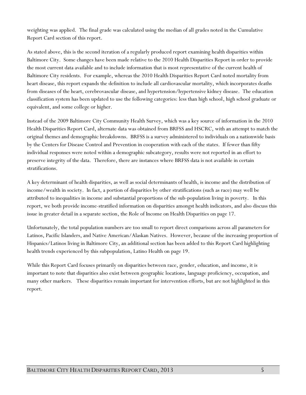weighting was applied. The final grade was calculated using the median of all grades noted in the Cumulative Report Card section of this report.

As stated above, this is the second iteration of a regularly produced report examining health disparities within Baltimore City. Some changes have been made relative to the 2010 Health Disparities Report in order to provide the most current data available and to include information that is most representative of the current health of Baltimore City residents. For example, whereas the 2010 Health Disparities Report Card noted mortality from heart disease, this report expands the definition to include all cardiovascular mortality, which incorporates deaths from diseases of the heart, cerebrovascular disease, and hypertension/hypertensive kidney disease. The education classification system has been updated to use the following categories: less than high school, high school graduate or equivalent, and some college or higher.

Instead of the 2009 Baltimore City Community Health Survey, which was a key source of information in the 2010 Health Disparities Report Card, alternate data was obtained from BRFSS and HSCRC, with an attempt to match the original themes and demographic breakdowns. BRFSS is a survey administered to individuals on a nationwide basis by the Centers for Disease Control and Prevention in cooperation with each of the states. If fewer than fifty individual responses were noted within a demographic subcategory, results were not reported in an effort to preserve integrity of the data. Therefore, there are instances where BRFSS data is not available in certain stratifications.

A key determinant of health disparities, as well as social determinants of health, is income and the distribution of income/wealth in society. In fact, a portion of disparities by other stratifications (such as race) may well be attributed to inequalities in income and substantial proportions of the sub-population living in poverty. In this report, we both provide income-stratified information on disparities amongst health indicators, and also discuss this issue in greater detail in a separate section, the Role of Income on Health Disparities on page 17.

Unfortunately, the total population numbers are too small to report direct comparisons across all parameters for Latinos, Pacific Islanders, and Native American/Alaskan Natives. However, because of the increasing proportion of Hispanics/Latinos living in Baltimore City, an additional section has been added to this Report Card highlighting health trends experienced by this subpopulation, Latino Health on page 19.

While this Report Card focuses primarily on disparities between race, gender, education, and income, it is important to note that disparities also exist between geographic locations, language proficiency, occupation, and many other markers. These disparities remain important for intervention efforts, but are not highlighted in this report.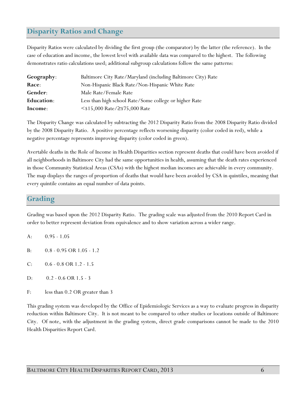## <span id="page-5-0"></span>**Disparity Ratios and Change**

Disparity Ratios were calculated by dividing the first group (the comparator) by the latter (the reference). In the case of education and income, the lowest level with available data was compared to the highest. The following demonstrates ratio calculations used; additional subgroup calculations follow the same patterns:

| Geography: | Baltimore City Rate/Maryland (including Baltimore City) Rate |
|------------|--------------------------------------------------------------|
| Race:      | Non-Hispanic Black Rate/Non-Hispanic White Rate              |
| Gender:    | Male Rate/Female Rate                                        |
| Education: | Less than high school Rate/Some college or higher Rate       |
| Income:    | $\le$ \$15,000 Rate/ $\ge$ \$75,000 Rate                     |

The Disparity Change was calculated by subtracting the 2012 Disparity Ratio from the 2008 Disparity Ratio divided by the 2008 Disparity Ratio. A positive percentage reflects worsening disparity (color coded in red), while a negative percentage represents improving disparity (color coded in green).

Avertable deaths in the Role of Income in Health Disparities section represent deaths that could have been avoided if all neighborhoods in Baltimore City had the same opportunities in health, assuming that the death rates experienced in those Community Statistical Areas (CSAs) with the highest median incomes are achievable in every community. The map displays the ranges of proportion of deaths that would have been avoided by CSA in quintiles, meaning that every quintile contains an equal number of data points.

#### <span id="page-5-1"></span>**Grading**

Grading was based upon the 2012 Disparity Ratio. The grading scale was adjusted from the 2010 Report Card in order to better represent deviation from equivalence and to show variation across a wider range.

- A: 0.95 1.05
- B: 0.8 0.95 OR 1.05 1.2
- C: 0.6 0.8 OR 1.2 1.5
- D: 0.2 0.6 OR 1.5 3
- F: less than 0.2 OR greater than 3

This grading system was developed by the Office of Epidemiologic Services as a way to evaluate progress in disparity reduction within Baltimore City. It is not meant to be compared to other studies or locations outside of Baltimore City. Of note, with the adjustment in the grading system, direct grade comparisons cannot be made to the 2010 Health Disparities Report Card.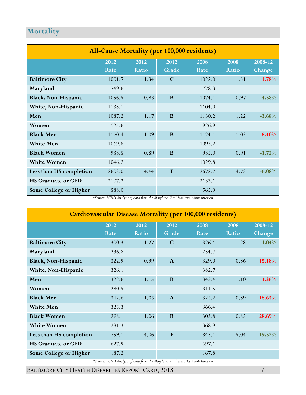# <span id="page-6-0"></span>**Mortality**

| <b>All-Cause Mortality (per 100,000 residents)</b> |              |                      |                                                                                                        |              |               |          |  |
|----------------------------------------------------|--------------|----------------------|--------------------------------------------------------------------------------------------------------|--------------|---------------|----------|--|
|                                                    | 2012<br>Rate | 2012<br><b>Ratio</b> | 2012<br>Grade                                                                                          | 2008<br>Rate | 2008<br>Ratio | 2008-12  |  |
|                                                    |              |                      |                                                                                                        |              |               | Change   |  |
| <b>Baltimore City</b>                              | 1001.7       | 1.34                 | $\mathbf C$                                                                                            | 1022.0       | 1.31          | 1.78%    |  |
| Maryland                                           | 749.6        |                      |                                                                                                        | 778.3        |               |          |  |
| Black, Non-Hispanic                                | 1056.5       | 0.93                 | B                                                                                                      | 1074.1       | 0.97          | $-4.58%$ |  |
| White, Non-Hispanic                                | 1138.1       |                      |                                                                                                        | 1104.0       |               |          |  |
| Men                                                | 1087.2       | 1.17                 | B                                                                                                      | 1130.2       | 1.22          | $-3.68%$ |  |
| Women                                              | 925.6        |                      |                                                                                                        | 926.9        |               |          |  |
| <b>Black Men</b>                                   | 1170.4       | 1.09                 | $\bf{B}$                                                                                               | 1124.1       | 1.03          | 6.40%    |  |
| <b>White Men</b>                                   | 1069.8       |                      |                                                                                                        | 1093.2       |               |          |  |
| <b>Black Women</b>                                 | 933.5        | 0.89                 | B                                                                                                      | 935.0        | 0.91          | $-1.72%$ |  |
| <b>White Women</b>                                 | 1046.2       |                      |                                                                                                        | 1029.8       |               |          |  |
| Less than HS completion                            | 2608.0       | 4.44                 | $\mathbf{F}$                                                                                           | 2672.7       | 4.72          | $-6.08%$ |  |
| <b>HS Graduate or GED</b>                          | 2107.2       |                      |                                                                                                        | 2133.1       |               |          |  |
| Some College or Higher                             | 588.0        |                      | $\mathcal{F}$ as $\mathcal{F}$ and $\mathcal{F}$ and $\mathcal{F}$ and $\mathcal{F}$ and $\mathcal{F}$ | 565.9        |               |          |  |

*\*Source: BCHD Analysis of data from the Maryland Vital Statistics Administration*

| <b>Cardiovascular Disease Mortality (per 100,000 residents)</b> |                                                                                          |                      |               |              |                      |                   |  |
|-----------------------------------------------------------------|------------------------------------------------------------------------------------------|----------------------|---------------|--------------|----------------------|-------------------|--|
|                                                                 | 2012<br>Rate                                                                             | 2012<br><b>Ratio</b> | 2012<br>Grade | 2008<br>Rate | 2008<br><b>Ratio</b> | 2008-12<br>Change |  |
| <b>Baltimore City</b>                                           | 300.3                                                                                    | 1.27                 | $\mathbf C$   | 326.4        | 1.28                 | $-1.04%$          |  |
| Maryland                                                        | 236.8                                                                                    |                      |               | 254.7        |                      |                   |  |
| <b>Black, Non-Hispanic</b>                                      | 322.9                                                                                    | 0.99                 | $\mathbf{A}$  | 329.0        | 0.86                 | 15.18%            |  |
| White, Non-Hispanic                                             | 326.1                                                                                    |                      |               | 382.7        |                      |                   |  |
| Men                                                             | 322.6                                                                                    | 1.15                 | B             | 343.4        | 1.10                 | 4.36%             |  |
| Women                                                           | 280.5                                                                                    |                      |               | 311.5        |                      |                   |  |
| <b>Black Men</b>                                                | 342.6                                                                                    | 1.05                 | $\mathbf{A}$  | 325.2        | 0.89                 | 18.65%            |  |
| <b>White Men</b>                                                | 325.3                                                                                    |                      |               | 366.4        |                      |                   |  |
| <b>Black Women</b>                                              | 298.1                                                                                    | 1.06                 | $\bf{B}$      | 303.8        | 0.82                 | 28.69%            |  |
| <b>White Women</b>                                              | 281.3                                                                                    |                      |               | 368.9        |                      |                   |  |
| Less than HS completion                                         | 759.1                                                                                    | 4.06                 | $\mathbf{F}$  | 845.4        | 5.04                 | $-19.52%$         |  |
| <b>HS Graduate or GED</b>                                       | 627.9                                                                                    |                      |               | 697.1        |                      |                   |  |
| <b>Some College or Higher</b>                                   | 187.2<br>*Course RCHD Anglusis of data from the Maryland Vital Statistics Administration |                      |               | 167.8        |                      |                   |  |

*\*Source: BCHD Analysis of data from the Maryland Vital Statistics Administration*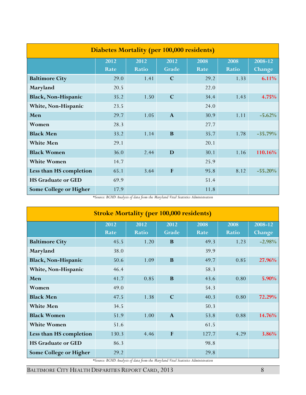| <b>Diabetes Mortality (per 100,000 residents)</b> |                                   |                      |                                                                                                                                                       |              |                      |                   |  |  |
|---------------------------------------------------|-----------------------------------|----------------------|-------------------------------------------------------------------------------------------------------------------------------------------------------|--------------|----------------------|-------------------|--|--|
|                                                   | 2012<br>Rate                      | 2012<br><b>Ratio</b> | 2012<br>Grade                                                                                                                                         | 2008<br>Rate | 2008<br><b>Ratio</b> | 2008-12<br>Change |  |  |
| <b>Baltimore City</b>                             | 29.0                              | 1.41                 | $\mathbf C$                                                                                                                                           | 29.2         | 1.33                 | 6.11%             |  |  |
| Maryland                                          | 20.5                              |                      |                                                                                                                                                       | 22.0         |                      |                   |  |  |
| Black, Non-Hispanic                               | 35.2                              | 1.50                 | $\mathbf C$                                                                                                                                           | 34.4         | 1.43                 | 4.75%             |  |  |
| White, Non-Hispanic                               | 23.5                              |                      |                                                                                                                                                       | 24.0         |                      |                   |  |  |
| Men                                               | 29.7                              | 1.05                 | $\mathbf{A}$                                                                                                                                          | 30.9         | 1.11                 | $-5.62%$          |  |  |
| Women                                             | 28.3                              |                      |                                                                                                                                                       | 27.7         |                      |                   |  |  |
| <b>Black Men</b>                                  | 33.2                              | 1.14                 | $\bf{B}$                                                                                                                                              | 35.7         | 1.78                 | $-35.79%$         |  |  |
| <b>White Men</b>                                  | 29.1                              |                      |                                                                                                                                                       | 20.1         |                      |                   |  |  |
| <b>Black Women</b>                                | 36.0                              | 2.44                 | D                                                                                                                                                     | 30.1         | 1.16                 | 110.16%           |  |  |
| <b>White Women</b>                                | 14.7                              |                      |                                                                                                                                                       | 25.9         |                      |                   |  |  |
| Less than HS completion                           | 65.1                              | 3.64                 | $\mathbf{F}$                                                                                                                                          | 95.8         | 8.12                 | $-55.20%$         |  |  |
| <b>HS Graduate or GED</b>                         | 69.9                              |                      |                                                                                                                                                       | 51.4         |                      |                   |  |  |
| Some College or Higher                            | 17.9<br>$n \cap \{1, \ldots, n\}$ |                      | $\mathcal{F}$ as $\mathcal{F}$ as $\mathcal{F}$ as $\mathcal{F}$ as $\mathcal{F}$ as $\mathcal{F}$ as $\mathcal{F}$ as $\mathcal{F}$ as $\mathcal{F}$ | 11.8         |                      |                   |  |  |

| <b>Stroke Mortality (per 100,000 residents)</b> |              |                      |               |              |                      |                   |  |
|-------------------------------------------------|--------------|----------------------|---------------|--------------|----------------------|-------------------|--|
|                                                 | 2012<br>Rate | 2012<br><b>Ratio</b> | 2012<br>Grade | 2008<br>Rate | 2008<br><b>Ratio</b> | 2008-12<br>Change |  |
| <b>Baltimore City</b>                           | 45.5         | 1.20                 | B             | 49.3         | 1.23                 | $-2.98%$          |  |
| Maryland                                        | 38.0         |                      |               | 39.9         |                      |                   |  |
| <b>Black, Non-Hispanic</b>                      | 50.6         | 1.09                 | <sub>B</sub>  | 49.7         | 0.85                 | 27.96%            |  |
| White, Non-Hispanic                             | 46.4         |                      |               | 58.3         |                      |                   |  |
| Men                                             | 41.7         | 0.85                 | B             | 43.6         | 0.80                 | 5.90%             |  |
| Women                                           | 49.0         |                      |               | 54.3         |                      |                   |  |
| <b>Black Men</b>                                | 47.5         | 1.38                 | $\mathbf C$   | 40.3         | 0.80                 | 72.29%            |  |
| <b>White Men</b>                                | 34.5         |                      |               | 50.3         |                      |                   |  |
| <b>Black Women</b>                              | 51.9         | 1.00                 | $\mathbf{A}$  | 53.8         | 0.88                 | 14.76%            |  |
| <b>White Women</b>                              | 51.6         |                      |               | 61.5         |                      |                   |  |
| Less than HS completion                         | 130.3        | 4.46                 | F             | 127.7        | 4.29                 | 3.86%             |  |
| <b>HS Graduate or GED</b>                       | 86.3         |                      |               | 98.8         |                      |                   |  |
| Some College or Higher                          | 29.2         |                      |               | 29.8         |                      |                   |  |

*\*Source: BCHD Analysis of data from the Maryland Vital Statistics Administration*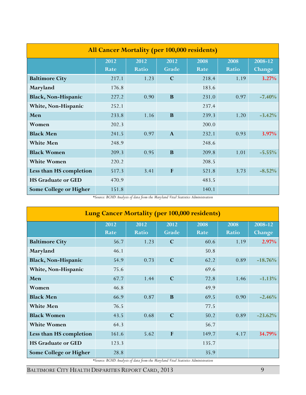| <b>All Cancer Mortality (per 100,000 residents)</b> |              |                      |               |                   |                      |                   |  |  |
|-----------------------------------------------------|--------------|----------------------|---------------|-------------------|----------------------|-------------------|--|--|
|                                                     | 2012<br>Rate | 2012<br><b>Ratio</b> | 2012<br>Grade | 2008<br>Rate      | 2008<br><b>Ratio</b> | 2008-12<br>Change |  |  |
| <b>Baltimore City</b>                               | 217.1        | 1.23                 | $\mathbf C$   | 218.4             | 1.19                 | 3.27%             |  |  |
| Maryland                                            | 176.8        |                      |               | 183.6             |                      |                   |  |  |
| <b>Black, Non-Hispanic</b>                          | 227.2        | 0.90                 | B             | 231.0             | 0.97                 | $-7.40%$          |  |  |
| White, Non-Hispanic                                 | 252.1        |                      |               | 237.4             |                      |                   |  |  |
| Men                                                 | 233.8        | 1.16                 | B             | 239.3             | 1.20                 | $-3.42%$          |  |  |
| Women                                               | 202.3        |                      |               | 200.0             |                      |                   |  |  |
| <b>Black Men</b>                                    | 241.5        | 0.97                 | $\mathbf{A}$  | 232.1             | 0.93                 | 3.97%             |  |  |
| <b>White Men</b>                                    | 248.9        |                      |               | 248.6             |                      |                   |  |  |
| <b>Black Women</b>                                  | 209.3        | 0.95                 | B             | 209.8             | 1.01                 | $-5.55%$          |  |  |
| <b>White Women</b>                                  | 220.2        |                      |               | 208.5             |                      |                   |  |  |
| Less than HS completion                             | 517.3        | 3.41                 | $\mathbf{F}$  | 521.8             | 3.73                 | $-8.52%$          |  |  |
| <b>HS Graduate or GED</b>                           | 470.9        |                      |               | 483.5             |                      |                   |  |  |
| Some College or Higher                              | 151.8        |                      | 1.11          | 140.1<br>$\cdots$ |                      |                   |  |  |

| <b>Lung Cancer Mortality (per 100,000 residents)</b> |              |                      |               |              |                      |                   |  |
|------------------------------------------------------|--------------|----------------------|---------------|--------------|----------------------|-------------------|--|
|                                                      | 2012<br>Rate | 2012<br><b>Ratio</b> | 2012<br>Grade | 2008<br>Rate | 2008<br><b>Ratio</b> | 2008-12<br>Change |  |
| <b>Baltimore City</b>                                | 56.7         | 1.23                 | $\mathbf C$   | 60.6         | 1.19                 | 2.97%             |  |
| Maryland                                             | 46.1         |                      |               | 50.8         |                      |                   |  |
| Black, Non-Hispanic                                  | 54.9         | 0.73                 | $\mathbf C$   | 62.2         | 0.89                 | $-18.76%$         |  |
| White, Non-Hispanic                                  | 75.6         |                      |               | 69.6         |                      |                   |  |
| Men                                                  | 67.7         | 1.44                 | $\mathbf C$   | 72.8         | 1.46                 | $-1.13%$          |  |
| Women                                                | 46.8         |                      |               | 49.9         |                      |                   |  |
| <b>Black Men</b>                                     | 66.9         | 0.87                 | B             | 69.5         | 0.90                 | $-2.46%$          |  |
| <b>White Men</b>                                     | 76.5         |                      |               | 77.5         |                      |                   |  |
| <b>Black Women</b>                                   | 43.5         | 0.68                 | $\mathbf C$   | 50.2         | 0.89                 | $-23.62%$         |  |
| <b>White Women</b>                                   | 64.3         |                      |               | 56.7         |                      |                   |  |
| Less than HS completion                              | 161.6        | 5.62                 | F             | 149.7        | 4.17                 | 34.79%            |  |
| <b>HS Graduate or GED</b>                            | 123.3        |                      |               | 135.7        |                      |                   |  |
| Some College or Higher                               | 28.8         |                      |               | 35.9         |                      |                   |  |

*\*Source: BCHD Analysis of data from the Maryland Vital Statistics Administration*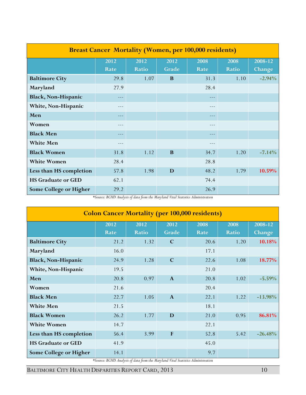| <b>Breast Cancer Mortality (Women, per 100,000 residents)</b> |              |               |               |              |               |                   |  |
|---------------------------------------------------------------|--------------|---------------|---------------|--------------|---------------|-------------------|--|
|                                                               | 2012<br>Rate | 2012<br>Ratio | 2012<br>Grade | 2008<br>Rate | 2008<br>Ratio | 2008-12<br>Change |  |
| <b>Baltimore City</b>                                         | 29.8         | 1.07          | B             | 31.3         | 1.10          | $-2.94%$          |  |
| Maryland                                                      | 27.9         |               |               | 28.4         |               |                   |  |
| Black, Non-Hispanic                                           | ---          |               |               | $---$        |               |                   |  |
| White, Non-Hispanic                                           |              |               |               |              |               |                   |  |
| Men                                                           | ---          |               |               | $---$        |               |                   |  |
| Women                                                         | $- - -$      |               |               | ---          |               |                   |  |
| <b>Black Men</b>                                              | $---$        |               |               | ---          |               |                   |  |
| <b>White Men</b>                                              |              |               |               |              |               |                   |  |
| <b>Black Women</b>                                            | 31.8         | 1.12          | B             | 34.7         | 1.20          | $-7.14%$          |  |
| <b>White Women</b>                                            | 28.4         |               |               | 28.8         |               |                   |  |
| Less than HS completion                                       | 57.8         | 1.98          | D             | 48.2         | 1.79          | 10.59%            |  |
| <b>HS Graduate or GED</b>                                     | 62.1         |               |               | 74.4         |               |                   |  |
| Some College or Higher                                        | 29.2         |               |               | 26.9         |               |                   |  |

| <b>Colon Cancer Mortality (per 100,000 residents)</b> |              |                      |               |              |                      |                   |  |  |
|-------------------------------------------------------|--------------|----------------------|---------------|--------------|----------------------|-------------------|--|--|
|                                                       | 2012<br>Rate | 2012<br><b>Ratio</b> | 2012<br>Grade | 2008<br>Rate | 2008<br><b>Ratio</b> | 2008-12<br>Change |  |  |
| <b>Baltimore City</b>                                 | 21.2         | 1.32                 | $\mathbf C$   | 20.6         | 1.20                 | 10.18%            |  |  |
| Maryland                                              | 16.0         |                      |               | 17.1         |                      |                   |  |  |
| Black, Non-Hispanic                                   | 24.9         | 1.28                 | $\mathbf C$   | 22.6         | 1.08                 | 18.77%            |  |  |
| White, Non-Hispanic                                   | 19.5         |                      |               | 21.0         |                      |                   |  |  |
| Men                                                   | 20.8         | 0.97                 | $\mathbf{A}$  | 20.8         | 1.02                 | $-5.59%$          |  |  |
| Women                                                 | 21.6         |                      |               | 20.4         |                      |                   |  |  |
| <b>Black Men</b>                                      | 22.7         | 1.05                 | $\mathbf{A}$  | 22.1         | 1.22                 | $-13.98%$         |  |  |
| <b>White Men</b>                                      | 21.5         |                      |               | 18.1         |                      |                   |  |  |
| <b>Black Women</b>                                    | 26.2         | 1.77                 | D             | 21.0         | 0.95                 | 86.81%            |  |  |
| <b>White Women</b>                                    | 14.7         |                      |               | 22.1         |                      |                   |  |  |
| Less than HS completion                               | 56.4         | 3.99                 | F             | 52.8         | 5.42                 | $-26.48%$         |  |  |
| <b>HS Graduate or GED</b>                             | 41.9         |                      |               | 45.0         |                      |                   |  |  |
| Some College or Higher                                | 14.1         |                      |               | 9.7          |                      |                   |  |  |

*\*Source: BCHD Analysis of data from the Maryland Vital Statistics Administration*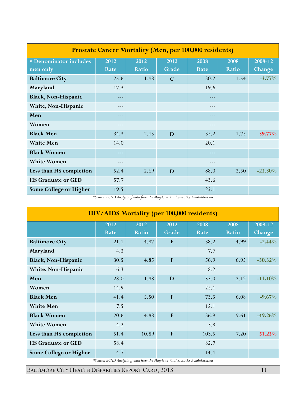| <b>Prostate Cancer Mortality (Men, per 100,000 residents)</b> |       |       |             |       |              |           |  |
|---------------------------------------------------------------|-------|-------|-------------|-------|--------------|-----------|--|
| * Denominator includes                                        | 2012  | 2012  | 2012        | 2008  | 2008         | 2008-12   |  |
| men only                                                      | Rate  | Ratio | Grade       | Rate  | <b>Ratio</b> | Change    |  |
| <b>Baltimore City</b>                                         | 25.6  | 1.48  | $\mathbf C$ | 30.2  | 1.54         | $-3.77%$  |  |
| Maryland                                                      | 17.3  |       |             | 19.6  |              |           |  |
| <b>Black, Non-Hispanic</b>                                    | ---   |       |             | $--$  |              |           |  |
| White, Non-Hispanic                                           |       |       |             |       |              |           |  |
| Men                                                           | ---   |       |             | $--$  |              |           |  |
| Women                                                         | ---   |       |             |       |              |           |  |
| <b>Black Men</b>                                              | 34.3  | 2.45  | D           | 35.2  | 1.75         | 39.77%    |  |
| <b>White Men</b>                                              | 14.0  |       |             | 20.1  |              |           |  |
| <b>Black Women</b>                                            | $---$ |       |             | $---$ |              |           |  |
| <b>White Women</b>                                            | ---   |       |             |       |              |           |  |
| Less than HS completion                                       | 52.4  | 2.69  | D           | 88.0  | 3.50         | $-23.30%$ |  |
| <b>HS Graduate or GED</b>                                     | 57.7  |       |             | 43.6  |              |           |  |
| Some College or Higher                                        | 19.5  |       |             | 25.1  |              |           |  |

| <b>HIV/AIDS Mortality (per 100,000 residents)</b> |              |                      |               |              |                      |                   |
|---------------------------------------------------|--------------|----------------------|---------------|--------------|----------------------|-------------------|
|                                                   | 2012<br>Rate | 2012<br><b>Ratio</b> | 2012<br>Grade | 2008<br>Rate | 2008<br><b>Ratio</b> | 2008-12<br>Change |
| <b>Baltimore City</b>                             | 21.1         | 4.87                 | $\mathbf{F}$  | 38.2         | 4.99                 | $-2.44%$          |
| Maryland                                          | 4.3          |                      |               | 7.7          |                      |                   |
| Black, Non-Hispanic                               | 30.5         | 4.85                 | F             | 56.9         | 6.95                 | $-30.32%$         |
| White, Non-Hispanic                               | 6.3          |                      |               | 8.2          |                      |                   |
| Men                                               | 28.0         | 1.88                 | D             | 53.0         | 2.12                 | $-11.10%$         |
| Women                                             | 14.9         |                      |               | 25.1         |                      |                   |
| <b>Black Men</b>                                  | 41.4         | 5.50                 | $\mathbf{F}$  | 73.5         | 6.08                 | $-9.67%$          |
| <b>White Men</b>                                  | 7.5          |                      |               | 12.1         |                      |                   |
| <b>Black Women</b>                                | 20.6         | 4.88                 | $\mathbf{F}$  | 36.9         | 9.61                 | $-49.26%$         |
| <b>White Women</b>                                | 4.2          |                      |               | 3.8          |                      |                   |
| Less than HS completion                           | 51.4         | 10.89                | $\mathbf{F}$  | 103.5        | 7.20                 | 51.23%            |
| <b>HS Graduate or GED</b>                         | 58.4         |                      |               | 82.7         |                      |                   |
| Some College or Higher                            | 4.7          |                      |               | 14.4         |                      |                   |

*\*Source: BCHD Analysis of data from the Maryland Vital Statistics Administration*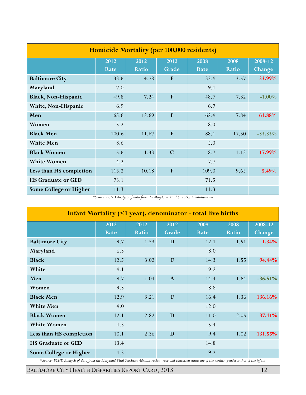| Homicide Mortality (per 100,000 residents) |              |                      |               |                         |               |                   |  |
|--------------------------------------------|--------------|----------------------|---------------|-------------------------|---------------|-------------------|--|
|                                            | 2012<br>Rate | 2012<br><b>Ratio</b> | 2012<br>Grade | 2008<br>Rate            | 2008<br>Ratio | 2008-12<br>Change |  |
| <b>Baltimore City</b>                      | 33.6         | 4.78                 | $\mathbf{F}$  | 33.4                    | 3.57          | 33.99%            |  |
| Maryland                                   | 7.0          |                      |               | 9.4                     |               |                   |  |
| <b>Black, Non-Hispanic</b>                 | 49.8         | 7.24                 | F             | 48.7                    | 7.32          | $-1.00%$          |  |
| White, Non-Hispanic                        | 6.9          |                      |               | 6.7                     |               |                   |  |
| Men                                        | 65.6         | 12.69                | F             | 62.4                    | 7.84          | 61.88%            |  |
| Women                                      | 5.2          |                      |               | 8.0                     |               |                   |  |
| <b>Black Men</b>                           | 100.6        | 11.67                | $\mathbf{F}$  | 88.1                    | 17.50         | $-33.33%$         |  |
| <b>White Men</b>                           | 8.6          |                      |               | 5.0                     |               |                   |  |
| <b>Black Women</b>                         | 5.6          | 1.33                 | $\mathbf C$   | 8.7                     | 1.13          | 17.99%            |  |
| <b>White Women</b>                         | 4.2          |                      |               | 7.7                     |               |                   |  |
| Less than HS completion                    | 115.2        | 10.18                | F             | 109.0                   | 9.65          | 5.49%             |  |
| <b>HS Graduate or GED</b>                  | 73.1         |                      |               | 71.5                    |               |                   |  |
| Some College or Higher                     | 11.3         |                      | 1.11          | 11.3<br>$\cdot$ $\cdot$ |               |                   |  |

| Infant Mortality (<1 year), denominator - total live births |              |                      |               |              |                      |                   |
|-------------------------------------------------------------|--------------|----------------------|---------------|--------------|----------------------|-------------------|
|                                                             | 2012<br>Rate | 2012<br><b>Ratio</b> | 2012<br>Grade | 2008<br>Rate | 2008<br><b>Ratio</b> | 2008-12<br>Change |
| <b>Baltimore City</b>                                       | 9.7          | 1.53                 | D             | 12.1         | 1.51                 | 1.34%             |
| Maryland                                                    | 6.3          |                      |               | 8.0          |                      |                   |
| <b>Black</b>                                                | 12.5         | 3.02                 | $\mathbf F$   | 14.3         | 1.55                 | 94.44%            |
| White                                                       | 4.1          |                      |               | 9.2          |                      |                   |
| Men                                                         | 9.7          | 1.04                 | $\mathbf{A}$  | 14.4         | 1.64                 | $-36.51%$         |
| Women                                                       | 9.3          |                      |               | 8.8          |                      |                   |
| <b>Black Men</b>                                            | 12.9         | 3.21                 | F             | 16.4         | 1.36                 | 136.16%           |
| <b>White Men</b>                                            | 4.0          |                      |               | 12.0         |                      |                   |
| <b>Black Women</b>                                          | 12.1         | 2.82                 | $\mathbf D$   | 11.0         | 2.05                 | 37.41%            |
| <b>White Women</b>                                          | 4.3          |                      |               | 5.4          |                      |                   |
| Less than HS completion                                     | 10.1         | 2.36                 | D             | 9.4          | 1.02                 | 131.55%           |
| <b>HS Graduate or GED</b>                                   | 13.4         |                      |               | 14.8         |                      |                   |
| Some College or Higher                                      | 4.3          |                      |               | 9.2          |                      |                   |

*\*Source: BCHD Analysis of data from the Maryland Vital Statistics Administration, race and education status are of the mother, gender is that of the infant*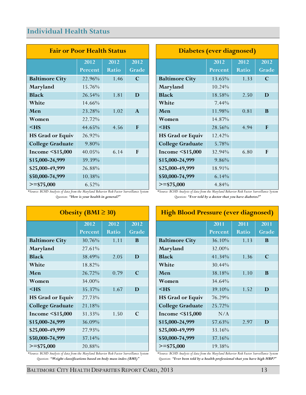# <span id="page-12-0"></span>**Individual Health Status**

| <b>Fair or Poor Health Status</b> |         |              |              |  |
|-----------------------------------|---------|--------------|--------------|--|
|                                   | 2012    | 2012         | 2012         |  |
|                                   | Percent | <b>Ratio</b> | Grade        |  |
| <b>Baltimore City</b>             | 22.96%  | 1.46         | $\mathbf C$  |  |
| Maryland                          | 15.76%  |              |              |  |
| <b>Black</b>                      | 26.54%  | 1.81         | D            |  |
| White                             | 14.66%  |              |              |  |
| Men                               | 23.28%  | 1.02         | $\mathbf{A}$ |  |
| Women                             | 22.72%  |              |              |  |
| $<$ HS                            | 44.65%  | 4.56         | F            |  |
| <b>HS Grad or Equiv</b>           | 26.92%  |              |              |  |
| <b>College Graduate</b>           | 9.80%   |              |              |  |
| Income $<$ \$15,000               | 40.05%  | 6.14         | F            |  |
| \$15,000-24,999                   | 39.39%  |              |              |  |
| \$25,000-49,999                   | 26.88%  |              |              |  |
| \$50,000-74,999                   | 10.38%  |              |              |  |
| $>=$ \$75,000                     | 6.52%   |              |              |  |

| Diabetes (ever diagnosed) |         |              |       |  |
|---------------------------|---------|--------------|-------|--|
|                           | 2012    | 2012         | 2012  |  |
|                           | Percent | <b>Ratio</b> | Grade |  |
| <b>Baltimore City</b>     | 13.65%  | 1.33         | C     |  |
| Maryland                  | 10.24%  |              |       |  |
| <b>Black</b>              | 18.58%  | 2.50         | D     |  |
| White                     | 7.44%   |              |       |  |
| Men                       | 11.98%  | 0.81         | B     |  |
| Women                     | 14.87%  |              |       |  |
| $<$ HS                    | 28.56%  | 4.94         | F     |  |
| <b>HS Grad or Equiv</b>   | 12.42%  |              |       |  |
| <b>College Graduate</b>   | 5.78%   |              |       |  |
| Income $\leq$ \$15,000    | 32.94%  | 6.80         | F     |  |
| \$15,000-24,999           | 9.86%   |              |       |  |
| \$25,000-49,999           | 18.91%  |              |       |  |
| \$50,000-74,999           | 6.14%   |              |       |  |
| $>=$ \$75,000             | 4.84%   |              |       |  |

*\*Source: BCHD Analysis of data from the Maryland Behavior Risk Factor Surveillance System Question: "How is your health in general?"*

| Obesity ( $BMI \geq 30$ ) |         |              |       |  |
|---------------------------|---------|--------------|-------|--|
|                           | 2012    | 2012         | 2012  |  |
|                           | Percent | <b>Ratio</b> | Grade |  |
| <b>Baltimore City</b>     | 30.76%  | 1.11         | B     |  |
| Maryland                  | 27.61%  |              |       |  |
| <b>Black</b>              | 38.49%  | 2.05         | D     |  |
| White                     | 18.82%  |              |       |  |
| Men                       | 26.72%  | 0.79         | C     |  |
| Women                     | 34.00%  |              |       |  |
| $<$ HS                    | 35.37%  | 1.67         | D     |  |
| <b>HS Grad or Equiv</b>   | 27.73%  |              |       |  |
| <b>College Graduate</b>   | 21.18%  |              |       |  |
| Income $<$ \$15,000       | 31.33%  | 1.50         | C     |  |
| \$15,000-24,999           | 36.09%  |              |       |  |
| \$25,000-49,999           | 27.93%  |              |       |  |
| \$50,000-74,999           | 37.14%  |              |       |  |
| $>=$ \$75,000             | 20.88%  |              |       |  |

*\*Source: BCHD Analysis of data from the Maryland Behavior Risk Factor Surveillance System Question: "Weight classifications based on body mass index (BMI)"*

*\*Source: BCHD Analysis of data from the Maryland Behavior Risk Factor Surveillance System Question: "Ever told by a doctor that you have diabetes?"*

| <b>High Blood Pressure (ever diagnosed)</b> |         |              |             |  |
|---------------------------------------------|---------|--------------|-------------|--|
|                                             | 2011    | 2011         | 2011        |  |
|                                             | Percent | <b>Ratio</b> | Grade       |  |
| <b>Baltimore City</b>                       | 36.10%  | 1.13         | B           |  |
| Maryland                                    | 32.00%  |              |             |  |
| <b>Black</b>                                | 41.34%  | 1.36         | $\mathbf C$ |  |
| White                                       | 30.44%  |              |             |  |
| Men                                         | 38.18%  | 1.10         | B           |  |
| Women                                       | 34.64%  |              |             |  |
| $<$ HS                                      | 39.10%  | 1.52         | D           |  |
| <b>HS Grad or Equiv</b>                     | 76.29%  |              |             |  |
| <b>College Graduate</b>                     | 25.72%  |              |             |  |
| Income $<$ \$15,000                         | N/A     |              |             |  |
| \$15,000-24,999                             | 57.63%  | 2.97         | D           |  |
| \$25,000-49,999                             | 33.16%  |              |             |  |
| \$50,000-74,999                             | 37.16%  |              |             |  |
| $>=$ \$75,000                               | 19.38%  |              |             |  |

*\*Source: BCHD Analysis of data from the Maryland Behavior Risk Factor Surveillance System Question: "Ever been told by a health professional that you have high HBP?"*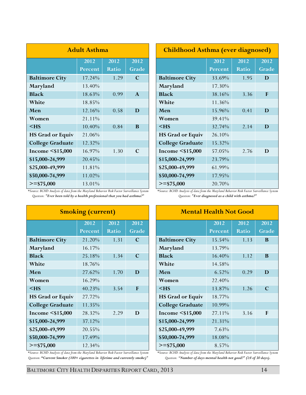| <b>Adult Asthma</b>     |         |              |              |  |
|-------------------------|---------|--------------|--------------|--|
|                         | 2012    | 2012         | 2012         |  |
|                         | Percent | <b>Ratio</b> | Grade        |  |
| <b>Baltimore City</b>   | 17.24%  | 1.29         | C            |  |
| Maryland                | 13.40%  |              |              |  |
| <b>Black</b>            | 18.63%  | 0.99         | $\mathbf{A}$ |  |
| White                   | 18.85%  |              |              |  |
| Men                     | 12.16%  | 0.58         | D            |  |
| Women                   | 21.11%  |              |              |  |
| $<$ HS                  | 10.40%  | 0.84         | B            |  |
| <b>HS Grad or Equiv</b> | 21.06%  |              |              |  |
| <b>College Graduate</b> | 12.32%  |              |              |  |
| Income $<$ \$15,000     | 16.97%  | 1.30         | C            |  |
| \$15,000-24,999         | 20.45%  |              |              |  |
| \$25,000-49,999         | 11.81%  |              |              |  |
| \$50,000-74,999         | 11.02%  |              |              |  |
| $>=$ \$75,000           | 13.01%  |              |              |  |

| <b>Childhood Asthma (ever diagnosed)</b> |         |              |       |  |
|------------------------------------------|---------|--------------|-------|--|
|                                          | 2012    | 2012         | 2012  |  |
|                                          | Percent | <b>Ratio</b> | Grade |  |
| <b>Baltimore City</b>                    | 33.69%  | 1.95         | D     |  |
| Maryland                                 | 17.30%  |              |       |  |
| <b>Black</b>                             | 38.16%  | 3.36         | F     |  |
| White                                    | 11.36%  |              |       |  |
| Men                                      | 15.96%  | 0.41         | D     |  |
| Women                                    | 39.41%  |              |       |  |
| $<$ HS                                   | 32.74%  | 2.14         | D     |  |
| <b>HS Grad or Equiv</b>                  | 26.10%  |              |       |  |
| <b>College Graduate</b>                  | 15.32%  |              |       |  |
| Income $<$ \$15,000                      | 57.05%  | 2.76         | D     |  |
| \$15,000-24,999                          | 23.79%  |              |       |  |
| \$25,000-49,999                          | 61.99%  |              |       |  |
| \$50,000-74,999                          | 17.95%  |              |       |  |
| $>=$ \$75,000                            | 20.70%  |              |       |  |

*\*Source: BCHD Analysis of data from the Maryland Behavior Risk Factor Surveillance System Question: "Ever been told by a health professional that you had asthma?"*

| <b>Smoking (current)</b> |         |              |             |  |
|--------------------------|---------|--------------|-------------|--|
|                          | 2012    | 2012         | 2012        |  |
|                          | Percent | <b>Ratio</b> | Grade       |  |
| <b>Baltimore City</b>    | 21.20%  | 1.31         | $\mathbf C$ |  |
| Maryland                 | 16.17%  |              |             |  |
| <b>Black</b>             | 25.18%  | 1.34         | $\mathbf C$ |  |
| White                    | 18.76%  |              |             |  |
| Men                      | 27.62%  | 1.70         | D           |  |
| Women                    | 16.29%  |              |             |  |
| $<$ HS                   | 40.23%  | 3.54         | F           |  |
| <b>HS Grad or Equiv</b>  | 27.72%  |              |             |  |
| <b>College Graduate</b>  | 11.35%  |              |             |  |
| Income $<$ \$15,000      | 28.32%  | 2.29         | D           |  |
| \$15,000-24,999          | 37.12%  |              |             |  |
| \$25,000-49,999          | 20.55%  |              |             |  |
| \$50,000-74,999          | 17.49%  |              |             |  |
| $>=$ \$75,000            | 12.34%  |              |             |  |

<span id="page-13-0"></span>*\*Source: BCHD Analysis of data from the Maryland Behavior Risk Factor Surveillance System Question:* **"***Current Smoker (100+ cigarettes in lifetime and currently smoke)"*

*\*Source: BCHD Analysis of data from the Maryland Behavior Risk Factor Surveillance System Question: "Ever diagnosed as a child with asthma?"*

| <b>Mental Health Not Good</b> |         |              |       |  |
|-------------------------------|---------|--------------|-------|--|
|                               | 2012    | 2012         | 2012  |  |
|                               | Percent | <b>Ratio</b> | Grade |  |
| <b>Baltimore City</b>         | 15.54%  | 1.13         | B     |  |
| Maryland                      | 13.79%  |              |       |  |
| <b>Black</b>                  | 16.40%  | 1.12         | B     |  |
| White                         | 14.58%  |              |       |  |
| Men                           | 6.52%   | 0.29         | D     |  |
| Women                         | 22.40%  |              |       |  |
| $<$ HS                        | 13.87%  | 1.26         | C     |  |
| <b>HS Grad or Equiv</b>       | 18.77%  |              |       |  |
| <b>College Graduate</b>       | 10.99%  |              |       |  |
| Income $<$ \$15,000           | 27.11%  | 3.16         | F     |  |
| \$15,000-24,999               | 21.31%  |              |       |  |
| \$25,000-49,999               | 7.63%   |              |       |  |
| \$50,000-74,999               | 18.08%  |              |       |  |
| $>=$ \$75,000                 | 8.57%   |              |       |  |

*\*Source: BCHD Analysis of data from the Maryland Behavior Risk Factor Surveillance System Question: "Number of days mental health not good?" (≥8 of 30 days).*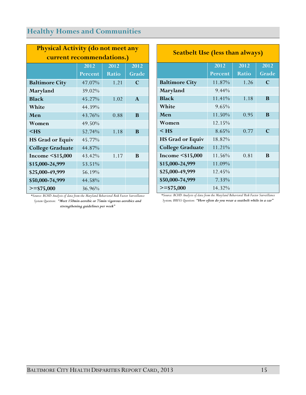# **Healthy Homes and Communities**

| <b>Physical Activity (do not meet any</b> |         |              |              |
|-------------------------------------------|---------|--------------|--------------|
| current recommendations.)                 |         |              |              |
|                                           | 2012    | 2012         | 2012         |
|                                           | Percent | <b>Ratio</b> | Grade        |
| <b>Baltimore City</b>                     | 47.07%  | 1.21         | $\mathbf C$  |
| Maryland                                  | 39.02%  |              |              |
| <b>Black</b>                              | 45.27%  | 1.02         | $\mathbf{A}$ |
| White                                     | 44.39%  |              |              |
| Men                                       | 43.76%  | 0.88         | B            |
| Women                                     | 49.50%  |              |              |
| $<$ HS                                    | 52.74%  | 1.18         | B            |
| <b>HS Grad or Equiv</b>                   | 45.77%  |              |              |
| <b>College Graduate</b>                   | 44.87%  |              |              |
| Income $<$ \$15,000                       | 43.42%  | 1.17         | B            |
| \$15,000-24,999                           | 53.51%  |              |              |
| \$25,000-49,999                           | 56.19%  |              |              |
| \$50,000-74,999                           | 44.58%  |              |              |
| $>=$ \$75,000                             | 36.96%  |              |              |

|                                    | *Source: BCHD Analysis of data from the Maryland Behavioral Risk Factor Surveillance |  |
|------------------------------------|--------------------------------------------------------------------------------------|--|
|                                    | System Question: "Meet 150min aerobic or 75min vigorous aerobics and                 |  |
| strengthening guidelines per week" |                                                                                      |  |

| <b>Seatbelt Use (less than always)</b> |          |              |                |
|----------------------------------------|----------|--------------|----------------|
|                                        | 2012     | 2012         | 2012           |
|                                        | Percent  | <b>Ratio</b> | Grade          |
| <b>Baltimore City</b>                  | 11.87%   | 1.26         | $\overline{C}$ |
| Maryland                               | $9.44\%$ |              |                |
| <b>Black</b>                           | 11.41%   | 1.18         | B              |
| White                                  | 9.65%    |              |                |
| Men                                    | 11.50%   | 0.95         | B              |
| Women                                  | 12.15%   |              |                |
| $<$ HS                                 | 8.65%    | 0.77         | C              |
| <b>HS Grad or Equiv</b>                | 18.82%   |              |                |
| <b>College Graduate</b>                | 11.21%   |              |                |
| Income $<$ \$15,000                    | 11.56%   | 0.81         | B              |
| \$15,000-24,999                        | 11.09%   |              |                |
| \$25,000-49,999                        | 12.45%   |              |                |
| \$50,000-74,999                        | 7.33%    |              |                |
| $>=$ \$75,000                          | 14.32%   |              |                |

*\*Source: BCHD Analysis of data from the Maryland Behavioral Risk Factor Surveillance System; BRFSS Question: "How often do you wear a seatbelt while in a car"*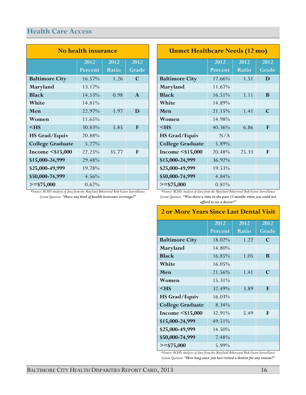## **Health Care Access**

| No health insurance     |         |              |              |
|-------------------------|---------|--------------|--------------|
|                         | 2012    | 2012         | 2012         |
|                         | Percent | <b>Ratio</b> | Grade        |
| <b>Baltimore City</b>   | 16.57%  | 1.26         | C            |
| Maryland                | 13.17%  |              |              |
| <b>Black</b>            | 14.53%  | 0.98         | $\mathbf{A}$ |
| White                   | 14.81%  |              |              |
| Men                     | 22.97%  | 1.97         | D            |
| Women                   | 11.65%  |              |              |
| $<$ HS                  | 30.83%  | 5.85         | F            |
| <b>HS Grad/Equiv</b>    | 20.88%  |              |              |
| <b>College Graduate</b> | 5.27%   |              |              |
| Income $\leq$ \$15,000  | 22.25%  | 35.77        | F            |
| \$15,000-24,999         | 29.48%  |              |              |
| \$25,000-49,999         | 19.78%  |              |              |
| \$50,000-74,999         | 4.56%   |              |              |
| $>=$ \$75,000           | 0.62%   |              |              |

*\*Source: BCHD Analysis of data from the Maryland Behavioral Risk Factor Surveillance System Question: "Have any kind of health insurance coverage?"*

| <b>Unmet Healthcare Needs (12 mo)</b> |         |              |       |
|---------------------------------------|---------|--------------|-------|
|                                       | 2012    | 2012         | 2012  |
|                                       | Percent | <b>Ratio</b> | Grade |
| <b>Baltimore City</b>                 | 17.66%  | 1.51         | D     |
| Maryland                              | 11.67%  |              |       |
| <b>Black</b>                          | 16.51%  | 1.11         | B     |
| White                                 | 14.89%  |              |       |
| Men                                   | 21.15%  | 1.41         | C     |
| Women                                 | 14.98%  |              |       |
| $<$ HS                                | 40.36%  | 6.86         | F     |
| <b>HS Grad/Equiv</b>                  | N/A     |              |       |
| <b>College Graduate</b>               | 5.89%   |              |       |
| Income $<$ \$15,000                   | 20.48%  | 25.33        | F     |
| \$15,000-24,999                       | 36.92%  |              |       |
| \$25,000-49,999                       | 19.53%  |              |       |
| \$50,000-74,999                       | 4.84%   |              |       |
| $>=$ \$75,000                         | 0.81%   |              |       |

*\*Source: BCHD Analysis of data from the Maryland Behavioral Risk Factor Surveillance System Question: "Was there a time in the past 12 months when you could not afford to see a doctor?"*

## **2 or More Years Since Last Dental Visit**

|                         | 2012    | 2012         | 2012        |
|-------------------------|---------|--------------|-------------|
|                         | Percent | <b>Ratio</b> | Grade       |
| <b>Baltimore City</b>   | 18.02%  | 1.22         | $\mathbf C$ |
| Maryland                | 14.80%  |              |             |
| <b>Black</b>            | 16.85%  | 1.05         | B           |
| White                   | 16.05%  |              |             |
| Men                     | 21.56%  | 1.41         | $\mathbf C$ |
| Women                   | 15.31%  |              |             |
| $<$ HS                  | 32.49%  | 3.89         | F           |
| HS Grad/Equiv           | 16.03%  |              |             |
| <b>College Graduate</b> | 8.34%   |              |             |
| Income $<$ \$15,000     | 32.91%  | 5.49         | F           |
| \$15,000-24,999         | 49.51%  |              |             |
| \$25,000-49,999         | 14.50%  |              |             |
| \$50,000-74,999         | 7.48%   |              |             |
| $>=$ \$75,000           | 5.99%   |              |             |

<span id="page-15-0"></span>*\*Source: BCHD Analysis of data from the Maryland Behavioral Risk Factor Surveillance System Question: "How long since you last visited a dentist for any reason?"*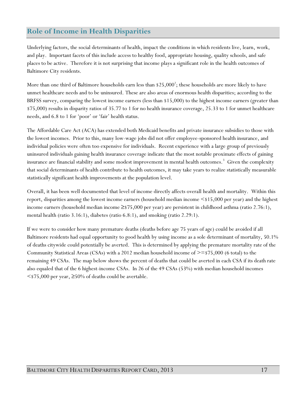## **Role of Income in Health Disparities**

Underlying factors, the social determinants of health, impact the conditions in which residents live, learn, work, and play. Important facets of this include access to healthy food, appropriate housing, quality schools, and safe places to be active. Therefore it is not surprising that income plays a significant role in the health outcomes of Baltimore City residents.

More than one third of Baltimore households earn less than  $$25,000^2$;$  these households are more likely to have unmet healthcare needs and to be uninsured. These are also areas of enormous health disparities; according to the BRFSS survey, comparing the lowest income earners (less than \$15,000) to the highest income earners (greater than \$75,000) results in disparity ratios of 35.77 to 1 for no health insurance coverage, 25.33 to 1 for unmet healthcare needs, and 6.8 to 1 for 'poor' or 'fair' health status.

The Affordable Care Act (ACA) has extended both Medicaid benefits and private insurance subsidies to those with the lowest incomes. Prior to this, many low-wage jobs did not offer employee-sponsored health insurance, and individual policies were often too expensive for individuals. Recent experience with a large group of previously uninsured individuals gaining health insurance coverage indicate that the most notable proximate effects of gaining insurance are financial stability and some modest improvement in mental health outcomes.<sup>3</sup> Given the complexity that social determinants of health contribute to health outcomes, it may take years to realize statistically measurable statistically significant health improvements at the population level.

Overall, it has been well documented that level of income directly affects overall health and mortality. Within this report, disparities among the lowest income earners (household median income <\$15,000 per year) and the highest income earners (household median income ≥\$75,000 per year) are persistent in childhood asthma (ratio 2.76:1), mental health (ratio 3.16:1), diabetes (ratio 6.8:1), and smoking (ratio 2.29:1).

If we were to consider how many premature deaths (deaths before age 75 years of age) could be avoided if all Baltimore residents had equal opportunity to good health by using income as a sole determinant of mortality, 50.1% of deaths citywide could potentially be averted. This is determined by applying the premature mortality rate of the Community Statistical Areas (CSAs) with a 2012 median household income of >=\$75,000 (6 total) to the remaining 49 CSAs. The map below shows the percent of deaths that could be averted in each CSA if its death rate also equaled that of the 6 highest-income CSAs. In 26 of the 49 CSAs (53%) with median household incomes  $\leq$  \$75,000 per year,  $\geq$ 50% of deaths could be avertable.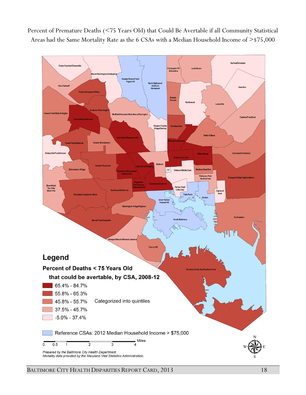

Percent of Premature Deaths (<75 Years Old) that Could Be Avertable if all Community Statistical Areas had the Same Mortality Rate as the 6 CSAs with a Median Household Income of >\$75,000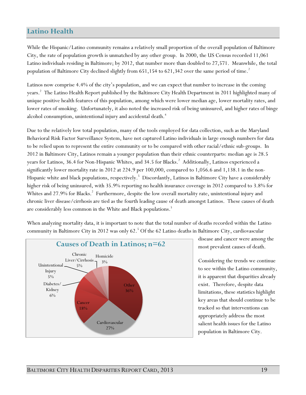#### <span id="page-18-0"></span>**Latino Health**

While the Hispanic/Latino community remains a relatively small proportion of the overall population of Baltimore City, the rate of population growth is unmatched by any other group. In 2000, the US Census recorded 11,061 Latino individuals residing in Baltimore; by 2012, that number more than doubled to 27,571. Meanwhile, the total population of Baltimore City declined slightly from  $651,154$  to  $621,342$  over the same period of time.<sup>2</sup>

Latinos now comprise 4.4% of the city's population, and we can expect that number to increase in the coming years. 2 The Latino Health Report published by the Baltimore City Health Department in 2011 highlighted many of unique positive health features of this population, among which were lower median age, lower mortality rates, and lower rates of smoking. Unfortunately, it also noted the increased risk of being uninsured, and higher rates of binge alcohol consumption, unintentional injury and accidental death. $^{\text{+}}$ 

Due to the relatively low total population, many of the tools employed for data collection, such as the Maryland Behavioral Risk Factor Surveillance System, have not captured Latino individuals in large enough numbers for data to be relied upon to represent the entire community or to be compared with other racial/ethnic sub-groups. In 2012 in Baltimore City, Latinos remain a younger population than their ethnic counterparts: median age is 28.5 years for Latinos, 36.4 for Non-Hispanic Whites, and 34.5 for Blacks. $^2$  Additionally, Latinos experienced a significantly lower mortality rate in 2012 at 224.9 per 100,000, compared to 1,056.6 and 1,138.1 in the non-Hispanic white and black populations, respectively.<sup>5</sup> Discordantly, Latinos in Baltimore City have a considerably higher risk of being uninsured, with 35.9% reporting no health insurance coverage in 2012 compared to 3.8% for Whites and 27.9% for Blacks.<sup>2</sup> Furthermore, despite the low overall mortality rate, unintentional injury and chronic liver disease/cirrhosis are tied as the fourth leading cause of death amongst Latinos. These causes of death are considerably less common in the White and Black populations.<sup>5</sup>

When analyzing mortality data, it is important to note that the total number of deaths recorded within the Latino community in Baltimore City in 2012 was only 62.<sup>5</sup> Of the 62 Latino deaths in Baltimore City, cardiovascular



disease and cancer were among the most prevalent causes of death.

Considering the trends we continue to see within the Latino community, it is apparent that disparities already exist. Therefore, despite data limitations, these statistics highlight key areas that should continue to be tracked so that interventions can appropriately address the most salient health issues for the Latino population in Baltimore City.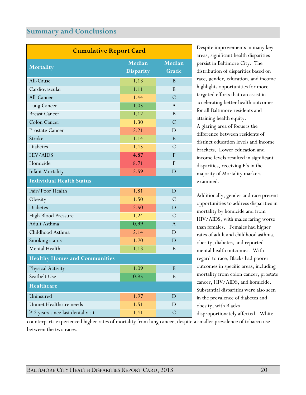## <span id="page-19-0"></span>**Summary and Conclusions**

| <b>Cumulative Report Card</b>          |                                   |                 |  |
|----------------------------------------|-----------------------------------|-----------------|--|
| <b>Mortality</b>                       | <b>Median</b><br><b>Disparity</b> | Median<br>Grade |  |
| All-Cause                              | 1.13                              | $\, {\bf B}$    |  |
| Cardiovascular                         | 1.11                              | B               |  |
| All-Cancer                             | 1.44                              | $\mathcal{C}$   |  |
| Lung Cancer                            | 1.05                              | A               |  |
| <b>Breast Cancer</b>                   | 1.12                              | B               |  |
| Colon Cancer                           | 1.30                              | $\mathcal{C}$   |  |
| Prostate Cancer                        | 2.21                              | D               |  |
| Stroke                                 | 1.14                              | B               |  |
| <b>Diabetes</b>                        | 1.45                              | $\mathcal{C}$   |  |
| <b>HIV/AIDS</b>                        | 4.87                              | $\overline{F}$  |  |
| Homicide                               | 8.71                              | $\mathsf{F}$    |  |
| <b>Infant Mortality</b>                | 2.59                              | D               |  |
| <b>Individual Health Status</b>        |                                   |                 |  |
| Fair/Poor Health                       | 1.81                              | $\mathbf D$     |  |
| Obesity                                | 1.50                              | $\mathcal{C}$   |  |
| <b>Diabetes</b>                        | 2.50                              | D               |  |
| <b>High Blood Pressure</b>             | 1.24                              | $\mathcal{C}$   |  |
| Adult Asthma                           | 0.99                              | $\mathbf{A}$    |  |
| Childhood Asthma                       | 2.14                              | D               |  |
| Smoking status                         | 1.70                              | D               |  |
| Mental Health                          | 1.13                              | $\, {\bf B}$    |  |
| <b>Healthy Homes and Communities</b>   |                                   |                 |  |
| Physical Activity                      | 1.09                              | $\, {\bf B}$    |  |
| Seatbelt Use                           | 0.95                              | B               |  |
| <b>Healthcare</b>                      |                                   |                 |  |
| Uninsured                              | 1.97                              | D               |  |
| <b>Unmet Healthcare needs</b>          | 1.51                              | D               |  |
| $\geq$ 2 years since last dental visit | 1.41                              | $\mathcal{C}$   |  |

Despite improvements in many key areas, significant health disparities persist in Baltimore City. The distribution of disparities based on race, gender, education, and income highlights opportunities for more targeted efforts that can assist in accelerating better health outcomes for all Baltimore residents and attaining health equity. A glaring area of focus is the

difference between residents of distinct education levels and income brackets. Lower education and income levels resulted in significant disparities, receiving F's in the majority of Mortality markers examined.

Additionally, gender and race present opportunities to address disparities in mortality by homicide and from HIV/AIDS, with males faring worse than females. Females had higher rates of adult and childhood asthma, obesity, diabetes, and reported mental health outcomes. With regard to race, Blacks had poorer outcomes in specific areas, including mortality from colon cancer, prostate cancer, HIV/AIDS, and homicide. Substantial disparities were also seen in the prevalence of diabetes and obesity, with Blacks disproportionately affected. White

counterparts experienced higher rates of mortality from lung cancer, despite a smaller prevalence of tobacco use between the two races.